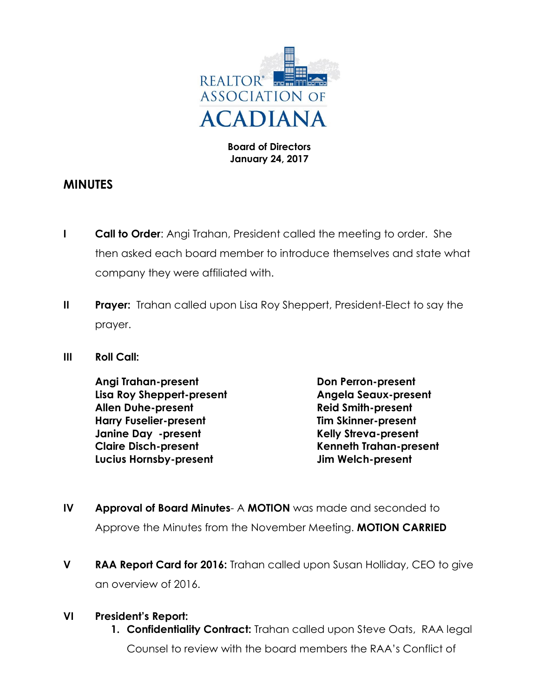

#### **Board of Directors January 24, 2017**

## **MINUTES**

- **I Call to Order**: Angi Trahan, President called the meeting to order. She then asked each board member to introduce themselves and state what company they were affiliated with.
- **II Prayer:** Trahan called upon Lisa Roy Sheppert, President-Elect to say the prayer.
- **III Roll Call:**

**Angi Trahan-present Don Perron-present Lisa Roy Sheppert-present Angela Seaux-present Allen Duhe-present Reid Smith-present Harry Fuselier-present Tim Skinner-present Janine Day -present Kelly Streva-present Claire Disch-present Kenneth Trahan-present Lucius Hornsby-present Jim Welch-present**

- **IV Approval of Board Minutes** A **MOTION** was made and seconded to Approve the Minutes from the November Meeting. **MOTION CARRIED**
- **V RAA Report Card for 2016:** Trahan called upon Susan Holliday, CEO to give an overview of 2016.

## **VI President's Report:**

**1. Confidentiality Contract:** Trahan called upon Steve Oats, RAA legal Counsel to review with the board members the RAA's Conflict of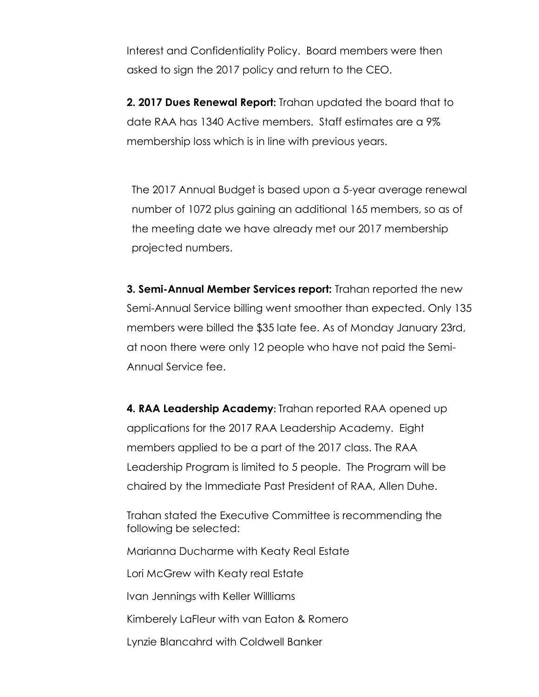Interest and Confidentiality Policy. Board members were then asked to sign the 2017 policy and return to the CEO.

**2. 2017 Dues Renewal Report:** Trahan updated the board that to date RAA has 1340 Active members. Staff estimates are a 9% membership loss which is in line with previous years.

The 2017 Annual Budget is based upon a 5-year average renewal number of 1072 plus gaining an additional 165 members, so as of the meeting date we have already met our 2017 membership projected numbers.

**3. Semi-Annual Member Services report:** Trahan reported the new Semi-Annual Service billing went smoother than expected. Only 135 members were billed the \$35 late fee. As of Monday January 23rd, at noon there were only 12 people who have not paid the Semi-Annual Service fee.

**4. RAA Leadership Academy:** Trahan reported RAA opened up applications for the 2017 RAA Leadership Academy. Eight members applied to be a part of the 2017 class. The RAA Leadership Program is limited to 5 people. The Program will be chaired by the Immediate Past President of RAA, Allen Duhe.

Trahan stated the Executive Committee is recommending the following be selected:

Marianna Ducharme with Keaty Real Estate

Lori McGrew with Keaty real Estate

Ivan Jennings with Keller Willliams

Kimberely LaFleur with van Eaton & Romero

Lynzie Blancahrd with Coldwell Banker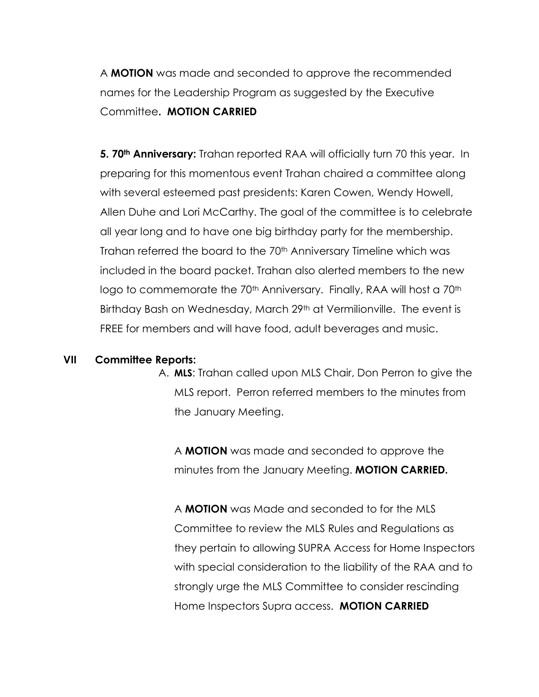A **MOTION** was made and seconded to approve the recommended names for the Leadership Program as suggested by the Executive Committee**. MOTION CARRIED**

**5. 70th Anniversary:** Trahan reported RAA will officially turn 70 this year. In preparing for this momentous event Trahan chaired a committee along with several esteemed past presidents: Karen Cowen, Wendy Howell, Allen Duhe and Lori McCarthy. The goal of the committee is to celebrate all year long and to have one big birthday party for the membership. Trahan referred the board to the 70<sup>th</sup> Anniversary Timeline which was included in the board packet. Trahan also alerted members to the new logo to commemorate the 70<sup>th</sup> Anniversary. Finally, RAA will host a 70<sup>th</sup> Birthday Bash on Wednesday, March 29<sup>th</sup> at Vermilionville. The event is FREE for members and will have food, adult beverages and music.

#### **VII Committee Reports:**

A. **MLS**: Trahan called upon MLS Chair, Don Perron to give the MLS report. Perron referred members to the minutes from the January Meeting.

A **MOTION** was made and seconded to approve the minutes from the January Meeting. **MOTION CARRIED.**

A **MOTION** was Made and seconded to for the MLS Committee to review the MLS Rules and Regulations as they pertain to allowing SUPRA Access for Home Inspectors with special consideration to the liability of the RAA and to strongly urge the MLS Committee to consider rescinding Home Inspectors Supra access. **MOTION CARRIED**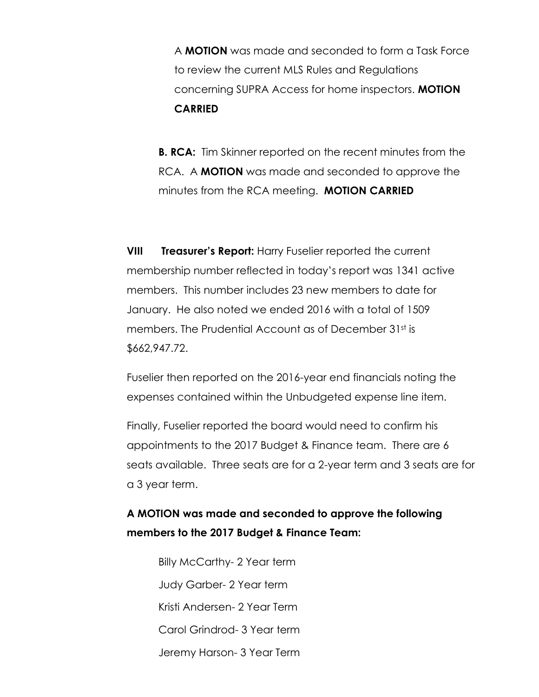A **MOTION** was made and seconded to form a Task Force to review the current MLS Rules and Regulations concerning SUPRA Access for home inspectors. **MOTION CARRIED**

**B. RCA:** Tim Skinner reported on the recent minutes from the RCA. A **MOTION** was made and seconded to approve the minutes from the RCA meeting. **MOTION CARRIED**

**VIII Treasurer's Report:** Harry Fuselier reported the current membership number reflected in today's report was 1341 active members. This number includes 23 new members to date for January. He also noted we ended 2016 with a total of 1509 members. The Prudential Account as of December 31st is \$662,947.72.

Fuselier then reported on the 2016-year end financials noting the expenses contained within the Unbudgeted expense line item.

Finally, Fuselier reported the board would need to confirm his appointments to the 2017 Budget & Finance team. There are 6 seats available. Three seats are for a 2-year term and 3 seats are for a 3 year term.

# **A MOTION was made and seconded to approve the following members to the 2017 Budget & Finance Team:**

Billy McCarthy- 2 Year term Judy Garber- 2 Year term Kristi Andersen- 2 Year Term Carol Grindrod- 3 Year term Jeremy Harson- 3 Year Term